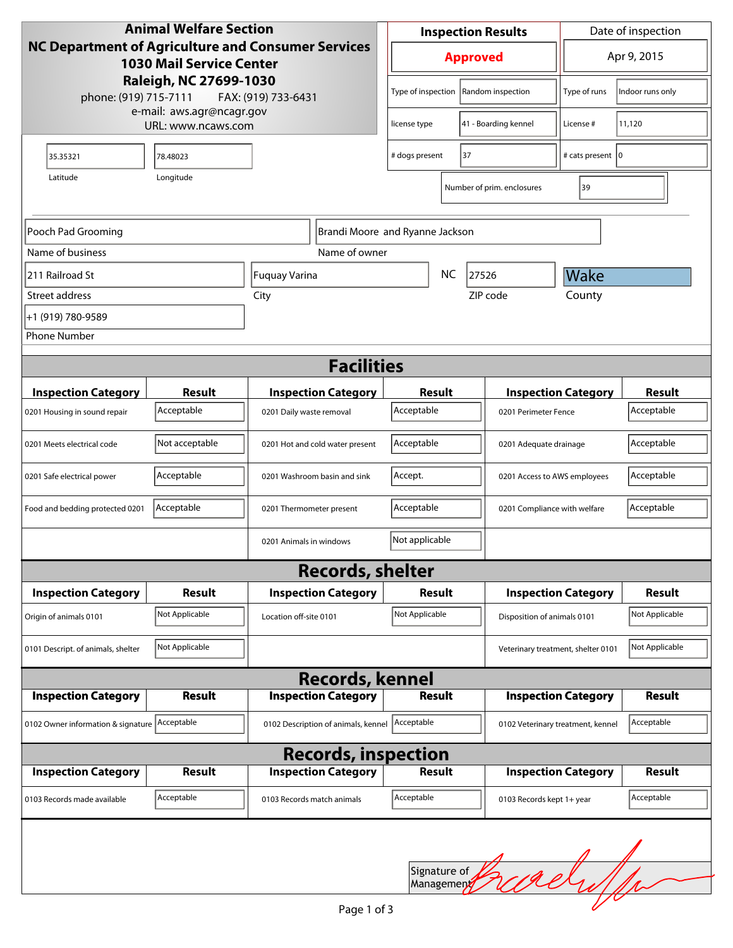| <b>Animal Welfare Section</b><br>NC Department of Agriculture and Consumer Services<br><b>1030 Mail Service Center</b><br>Raleigh, NC 27699-1030<br>phone: (919) 715-7111<br>FAX: (919) 733-6431 |                |                                 |                                                | <b>Inspection Results</b><br><b>Approved</b> |  |                                                      | Date of inspection                |                  |  |  |
|--------------------------------------------------------------------------------------------------------------------------------------------------------------------------------------------------|----------------|---------------------------------|------------------------------------------------|----------------------------------------------|--|------------------------------------------------------|-----------------------------------|------------------|--|--|
|                                                                                                                                                                                                  |                |                                 |                                                |                                              |  |                                                      | Apr 9, 2015                       |                  |  |  |
|                                                                                                                                                                                                  |                |                                 |                                                | Type of inspection                           |  | Random inspection                                    | Type of runs                      | Indoor runs only |  |  |
| e-mail: aws.agr@ncagr.gov<br>URL: www.ncaws.com                                                                                                                                                  |                |                                 |                                                | 41 - Boarding kennel<br>license type         |  | License#                                             | 11,120                            |                  |  |  |
| 35.35321                                                                                                                                                                                         | 78.48023       |                                 | # dogs present<br>37                           |                                              |  | # cats present   0                                   |                                   |                  |  |  |
| Latitude                                                                                                                                                                                         | Longitude      |                                 |                                                |                                              |  |                                                      |                                   |                  |  |  |
|                                                                                                                                                                                                  |                |                                 |                                                |                                              |  | Number of prim. enclosures                           | 39                                |                  |  |  |
| Pooch Pad Grooming                                                                                                                                                                               |                |                                 |                                                | Brandi Moore and Ryanne Jackson              |  |                                                      |                                   |                  |  |  |
| Name of business                                                                                                                                                                                 |                |                                 | Name of owner                                  |                                              |  |                                                      |                                   |                  |  |  |
| 211 Railroad St<br>Fuquay Varina                                                                                                                                                                 |                |                                 |                                                | <b>NC</b><br>27526                           |  |                                                      | Wake                              |                  |  |  |
| Street address<br>City                                                                                                                                                                           |                |                                 |                                                | ZIP code                                     |  |                                                      | County                            |                  |  |  |
| +1 (919) 780-9589                                                                                                                                                                                |                |                                 |                                                |                                              |  |                                                      |                                   |                  |  |  |
| <b>Phone Number</b>                                                                                                                                                                              |                |                                 |                                                |                                              |  |                                                      |                                   |                  |  |  |
| <b>Facilities</b>                                                                                                                                                                                |                |                                 |                                                |                                              |  |                                                      |                                   |                  |  |  |
| <b>Inspection Category</b>                                                                                                                                                                       | Result         |                                 | <b>Inspection Category</b>                     | Result                                       |  |                                                      | <b>Inspection Category</b>        | <b>Result</b>    |  |  |
| 0201 Housing in sound repair                                                                                                                                                                     | Acceptable     | 0201 Daily waste removal        |                                                | Acceptable                                   |  |                                                      | 0201 Perimeter Fence              |                  |  |  |
| 0201 Meets electrical code                                                                                                                                                                       | Not acceptable | 0201 Hot and cold water present |                                                | Acceptable                                   |  |                                                      | 0201 Adequate drainage            |                  |  |  |
| 0201 Safe electrical power                                                                                                                                                                       | Acceptable     | 0201 Washroom basin and sink    |                                                | Accept.                                      |  |                                                      | 0201 Access to AWS employees      |                  |  |  |
| Food and bedding protected 0201                                                                                                                                                                  | Acceptable     | 0201 Thermometer present        |                                                | Acceptable                                   |  |                                                      | 0201 Compliance with welfare      |                  |  |  |
|                                                                                                                                                                                                  |                | 0201 Animals in windows         | Not applicable                                 |                                              |  |                                                      |                                   |                  |  |  |
|                                                                                                                                                                                                  |                |                                 | <b>Records, shelter</b>                        |                                              |  |                                                      |                                   |                  |  |  |
| <b>Inspection Category</b>                                                                                                                                                                       | Result         | <b>Inspection Category</b>      |                                                | <b>Result</b>                                |  |                                                      | <b>Inspection Category</b>        |                  |  |  |
| Origin of animals 0101                                                                                                                                                                           | Not Applicable | Location off-site 0101          |                                                | Not Applicable                               |  |                                                      | Disposition of animals 0101       |                  |  |  |
| 0101 Descript. of animals, shelter                                                                                                                                                               | Not Applicable |                                 |                                                |                                              |  | Not Applicable<br>Veterinary treatment, shelter 0101 |                                   |                  |  |  |
|                                                                                                                                                                                                  |                |                                 | <b>Records, kennel</b>                         |                                              |  |                                                      |                                   |                  |  |  |
| <b>Inspection Category</b>                                                                                                                                                                       | <b>Result</b>  |                                 | <b>Inspection Category</b>                     | <b>Result</b>                                |  |                                                      | <b>Inspection Category</b>        | <b>Result</b>    |  |  |
| 0102 Owner information & signature Acceptable                                                                                                                                                    |                |                                 | 0102 Description of animals, kennel Acceptable |                                              |  |                                                      | 0102 Veterinary treatment, kennel | Acceptable       |  |  |
|                                                                                                                                                                                                  |                |                                 | <b>Records, inspection</b>                     |                                              |  |                                                      |                                   |                  |  |  |
| <b>Inspection Category</b>                                                                                                                                                                       | Result         |                                 | <b>Inspection Category</b>                     | <b>Result</b>                                |  |                                                      | <b>Inspection Category</b>        | <b>Result</b>    |  |  |
| 0103 Records made available                                                                                                                                                                      | Acceptable     | 0103 Records match animals      |                                                | Acceptable                                   |  | 0103 Records kept 1+ year                            |                                   | Acceptable       |  |  |
|                                                                                                                                                                                                  |                |                                 |                                                | Signature of<br>Management                   |  | wely                                                 |                                   |                  |  |  |
|                                                                                                                                                                                                  |                |                                 | Page 1 of 3                                    |                                              |  |                                                      |                                   |                  |  |  |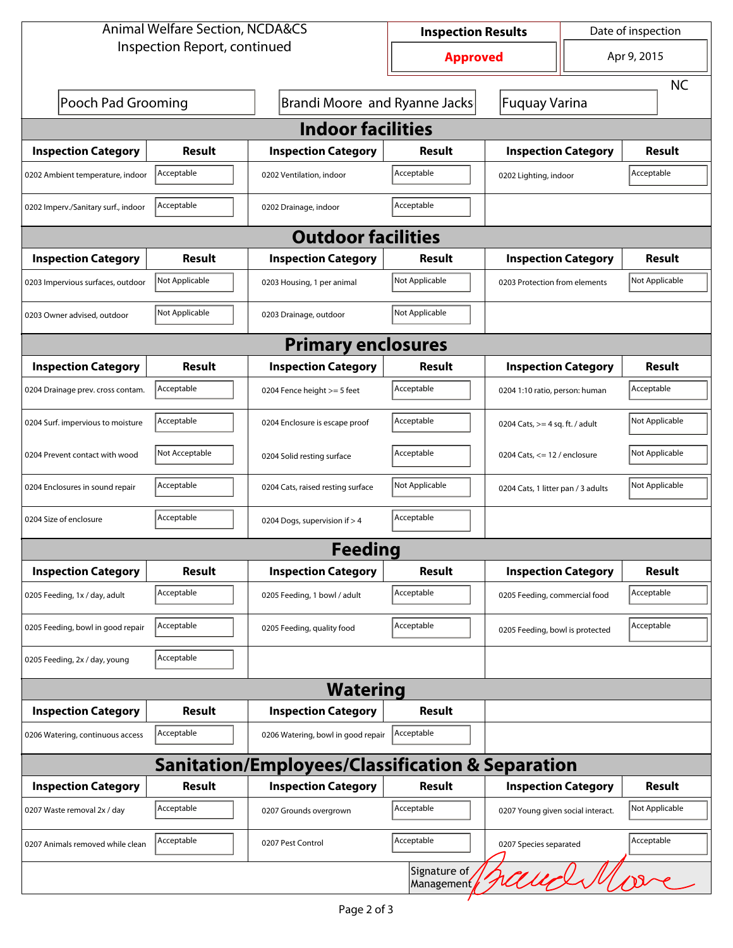| <b>Animal Welfare Section, NCDA&amp;CS</b>       | <b>Inspection Results</b>     |                                    | Date of inspection         |                                    |  |                |  |  |
|--------------------------------------------------|-------------------------------|------------------------------------|----------------------------|------------------------------------|--|----------------|--|--|
| Inspection Report, continued                     | <b>Approved</b>               |                                    | Apr 9, 2015                |                                    |  |                |  |  |
|                                                  |                               |                                    |                            |                                    |  | <b>NC</b>      |  |  |
| Pooch Pad Grooming                               | Brandi Moore and Ryanne Jacks | Fuquay Varina                      |                            |                                    |  |                |  |  |
| <b>Indoor facilities</b>                         |                               |                                    |                            |                                    |  |                |  |  |
| <b>Inspection Category</b>                       | Result                        | <b>Inspection Category</b>         | Result                     | <b>Inspection Category</b>         |  | Result         |  |  |
| 0202 Ambient temperature, indoor                 | Acceptable                    | 0202 Ventilation, indoor           | Acceptable                 | 0202 Lighting, indoor              |  | Acceptable     |  |  |
| 0202 Imperv./Sanitary surf., indoor              | Acceptable                    | 0202 Drainage, indoor              | Acceptable                 |                                    |  |                |  |  |
| <b>Outdoor facilities</b>                        |                               |                                    |                            |                                    |  |                |  |  |
| <b>Inspection Category</b>                       | Result                        | <b>Inspection Category</b>         | Result                     | <b>Inspection Category</b>         |  | Result         |  |  |
| 0203 Impervious surfaces, outdoor                | Not Applicable                | 0203 Housing, 1 per animal         | Not Applicable             | 0203 Protection from elements      |  | Not Applicable |  |  |
| 0203 Owner advised, outdoor                      | Not Applicable                | 0203 Drainage, outdoor             | Not Applicable             |                                    |  |                |  |  |
| <b>Primary enclosures</b>                        |                               |                                    |                            |                                    |  |                |  |  |
| <b>Inspection Category</b>                       | Result                        | <b>Inspection Category</b>         | Result                     | <b>Inspection Category</b>         |  | <b>Result</b>  |  |  |
| 0204 Drainage prev. cross contam.                | Acceptable                    | 0204 Fence height >= 5 feet        | Acceptable                 | 0204 1:10 ratio, person: human     |  | Acceptable     |  |  |
| 0204 Surf. impervious to moisture                | Acceptable                    | 0204 Enclosure is escape proof     | Acceptable                 | 0204 Cats, $>=$ 4 sq. ft. / adult  |  | Not Applicable |  |  |
| 0204 Prevent contact with wood                   | Not Acceptable                | 0204 Solid resting surface         | Acceptable                 | 0204 Cats, $<= 12$ / enclosure     |  | Not Applicable |  |  |
| 0204 Enclosures in sound repair                  | Acceptable                    | 0204 Cats, raised resting surface  | Not Applicable             | 0204 Cats, 1 litter pan / 3 adults |  | Not Applicable |  |  |
| 0204 Size of enclosure                           | Acceptable                    | 0204 Dogs, supervision if > 4      | Acceptable                 |                                    |  |                |  |  |
|                                                  |                               | Feeding                            |                            |                                    |  |                |  |  |
| <b>Inspection Category</b>                       | Result                        | <b>Inspection Category</b>         | <b>Result</b>              | <b>Inspection Category</b>         |  | <b>Result</b>  |  |  |
| 0205 Feeding, 1x / day, adult                    | Acceptable                    | 0205 Feeding, 1 bowl / adult       | Acceptable                 | 0205 Feeding, commercial food      |  | Acceptable     |  |  |
| 0205 Feeding, bowl in good repair                | Acceptable                    | 0205 Feeding, quality food         | Acceptable                 | 0205 Feeding, bowl is protected    |  | Acceptable     |  |  |
| 0205 Feeding, 2x / day, young                    | Acceptable                    |                                    |                            |                                    |  |                |  |  |
|                                                  |                               | <b>Watering</b>                    |                            |                                    |  |                |  |  |
| <b>Inspection Category</b>                       | Result                        | <b>Inspection Category</b>         | Result                     |                                    |  |                |  |  |
| 0206 Watering, continuous access                 | Acceptable                    | 0206 Watering, bowl in good repair | Acceptable                 |                                    |  |                |  |  |
| Sanitation/Employees/Classification & Separation |                               |                                    |                            |                                    |  |                |  |  |
| <b>Inspection Category</b>                       | <b>Result</b>                 | <b>Inspection Category</b>         | Result                     | <b>Inspection Category</b>         |  | <b>Result</b>  |  |  |
| 0207 Waste removal 2x / day                      | Acceptable                    | 0207 Grounds overgrown             | Acceptable                 | 0207 Young given social interact.  |  | Not Applicable |  |  |
| 0207 Animals removed while clean                 | Acceptable                    | 0207 Pest Control                  | Acceptable                 | 0207 Species separated             |  | Acceptable     |  |  |
|                                                  |                               |                                    | Signature of<br>Management |                                    |  | aughMore       |  |  |